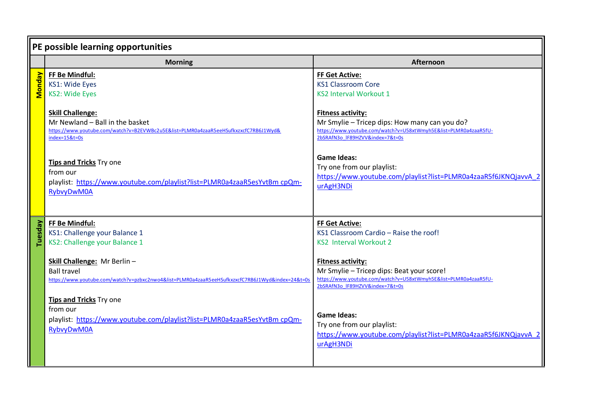| PE possible learning opportunities                                                                                                                                  |                                                                                                                                                                                  |
|---------------------------------------------------------------------------------------------------------------------------------------------------------------------|----------------------------------------------------------------------------------------------------------------------------------------------------------------------------------|
| <b>Morning</b>                                                                                                                                                      | Afternoon                                                                                                                                                                        |
| FF Be Mindful:<br>KS1: Wide Eyes<br><b>KS2: Wide Eyes</b>                                                                                                           | <b>FF Get Active:</b><br><b>KS1 Classroom Core</b><br><b>KS2 Interval Workout 1</b>                                                                                              |
| <b>Skill Challenge:</b><br>Mr Newland - Ball in the basket<br>https://www.youtube.com/watch?v=B2EVWBc2u5E&list=PLMR0a4zaaR5eeHSufkxzxcfC7RB6J1Wyd&<br>index=15&t=0s | <b>Fitness activity:</b><br>Mr Smylie - Tricep dips: How many can you do?<br>https://www.youtube.com/watch?v=U58xtWmyh5E&list=PLMR0a4zaaR5fU-<br>2bSRAfN3o IF89HZVV&index=7&t=0s |
| <b>Tips and Tricks Try one</b><br>from our<br>playlist: https://www.youtube.com/playlist?list=PLMR0a4zaaR5esYvtBm cpQm-<br><b>RybvyDwM0A</b>                        | <b>Game Ideas:</b><br>Try one from our playlist:<br>https://www.youtube.com/playlist?list=PLMR0a4zaaR5f6JKNQjavvA 2<br>urAgH3NDi                                                 |
| FF Be Mindful:<br>KS1: Challenge your Balance 1<br>KS2: Challenge your Balance 1                                                                                    | <b>FF Get Active:</b><br>KS1 Classroom Cardio - Raise the roof!<br><b>KS2 Interval Workout 2</b><br><b>Fitness activity:</b>                                                     |
| <b>Ball travel</b><br>https://www.youtube.com/watch?v=pzbxc2nwo4&list=PLMR0a4zaaR5eeHSufkxzxcfC7RB6J1Wyd&index=24&t=0s                                              | Mr Smylie - Tricep dips: Beat your score!<br>https://www.youtube.com/watch?v=U58xtWmyh5E&list=PLMR0a4zaaR5fU-<br>2bSRAfN3o IF89HZVV&index=7&t=0s                                 |
| from our<br>playlist: https://www.youtube.com/playlist?list=PLMR0a4zaaR5esYvtBm cpQm-<br><b>RybvyDwM0A</b>                                                          | <b>Game Ideas:</b><br>Try one from our playlist:<br>https://www.youtube.com/playlist?list=PLMR0a4zaaR5f6JKNQjavvA 2<br>urAgH3NDi                                                 |
|                                                                                                                                                                     | Skill Challenge: Mr Berlin-<br><b>Tips and Tricks Try one</b>                                                                                                                    |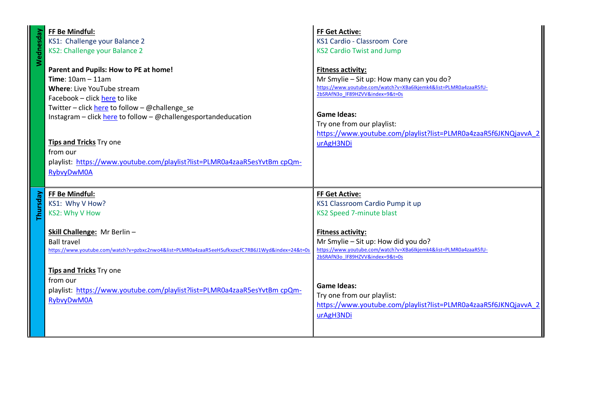| FF Be Mindful:<br>KS1: Challenge your Balance 2<br>KS2: Challenge your Balance 2<br>Parent and Pupils: How to PE at home!                                                                                                                                                                                                                              | <b>FF Get Active:</b><br>KS1 Cardio - Classroom Core<br><b>KS2 Cardio Twist and Jump</b><br><b>Fitness activity:</b>                                                                                                                                                                |
|--------------------------------------------------------------------------------------------------------------------------------------------------------------------------------------------------------------------------------------------------------------------------------------------------------------------------------------------------------|-------------------------------------------------------------------------------------------------------------------------------------------------------------------------------------------------------------------------------------------------------------------------------------|
| Time: $10am - 11am$<br>Where: Live YouTube stream<br>Facebook - click here to like<br>Twitter – click here to follow – @challenge se<br>Instagram - click here to follow - @challengesportandeducation<br><b>Tips and Tricks Try one</b><br>from our<br>playlist: https://www.youtube.com/playlist?list=PLMR0a4zaaR5esYvtBm cpQm-<br><b>RybvyDwM0A</b> | Mr Smylie - Sit up: How many can you do?<br>https://www.youtube.com/watch?v=XBa6Ikjemk4&list=PLMR0a4zaaR5fU-<br>2bSRAfN3o IF89HZVV&index=9&t=0s<br><b>Game Ideas:</b><br>Try one from our playlist:<br>https://www.youtube.com/playlist?list=PLMR0a4zaaR5f6JKNQjavvA_2<br>urAgH3NDi |
| FF Be Mindful:<br>KS1: Why V How?<br>KS2: Why V How<br>Skill Challenge: Mr Berlin-<br><b>Ball travel</b><br>https://www.youtube.com/watch?v=pzbxc2nwo4&list=PLMR0a4zaaR5eeHSufkxzxcfC7RB6J1Wyd&index=24&t=0s                                                                                                                                           | <b>FF Get Active:</b><br>KS1 Classroom Cardio Pump it up<br><b>KS2 Speed 7-minute blast</b><br><b>Fitness activity:</b><br>Mr Smylie - Sit up: How did you do?<br>https://www.youtube.com/watch?v=XBa6Ikjemk4&list=PLMR0a4zaaR5fU-<br>2bSRAfN3o IF89HZVV&index=9&t=0s               |
| <b>Tips and Tricks</b> Try one<br>from our<br>playlist: https://www.youtube.com/playlist?list=PLMR0a4zaaR5esYvtBm cpQm-<br><b>RybvyDwM0A</b>                                                                                                                                                                                                           | <b>Game Ideas:</b><br>Try one from our playlist:<br>https://www.youtube.com/playlist?list=PLMR0a4zaaR5f6JKNQjavvA 2<br>urAgH3NDi                                                                                                                                                    |